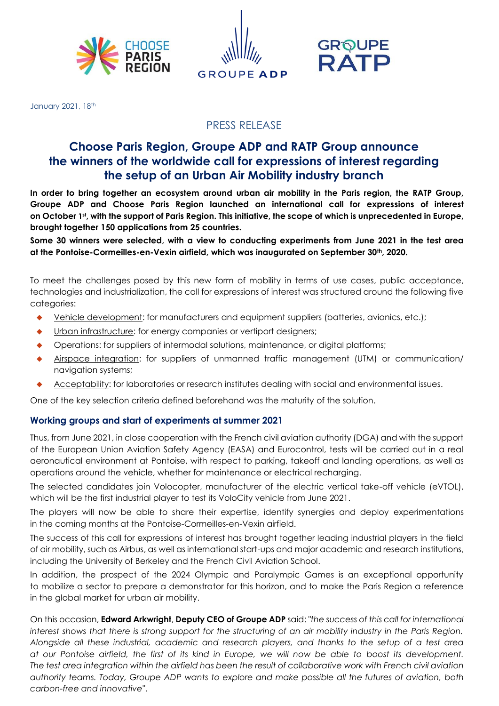





January 2021, 18th

## PRESS RELEASE

# **Choose Paris Region, Groupe ADP and RATP Group announce the winners of the worldwide call for expressions of interest regarding the setup of an Urban Air Mobility industry branch**

**In order to bring together an ecosystem around urban air mobility in the Paris region, the RATP Group, Groupe ADP and Choose Paris Region launched an international call for expressions of interest on October 1st , with the support of Paris Region. This initiative, the scope of which is unprecedented in Europe, brought together 150 applications from 25 countries.** 

**Some 30 winners were selected, with a view to conducting experiments from June 2021 in the test area at the Pontoise-Cormeilles-en-Vexin airfield, which was inaugurated on September 30th, 2020.**

To meet the challenges posed by this new form of mobility in terms of use cases, public acceptance, technologies and industrialization, the call for expressions of interest was structured around the following five categories:

- Vehicle development: for manufacturers and equipment suppliers (batteries, avionics, etc.);
- Urban infrastructure: for energy companies or vertiport designers;
- Operations: for suppliers of intermodal solutions, maintenance, or digital platforms;
- Airspace integration: for suppliers of unmanned traffic management (UTM) or communication/ navigation systems;
- Acceptability: for laboratories or research institutes dealing with social and environmental issues.

One of the key selection criteria defined beforehand was the maturity of the solution.

## **Working groups and start of experiments at summer 2021**

Thus, from June 2021, in close cooperation with the French civil aviation authority (DGA) and with the support of the European Union Aviation Safety Agency (EASA) and Eurocontrol, tests will be carried out in a real aeronautical environment at Pontoise, with respect to parking, takeoff and landing operations, as well as operations around the vehicle, whether for maintenance or electrical recharging.

The selected candidates join Volocopter, manufacturer of the electric vertical take-off vehicle (eVTOL), which will be the first industrial player to test its VoloCity vehicle from June 2021.

The players will now be able to share their expertise, identify synergies and deploy experimentations in the coming months at the Pontoise-Cormeilles-en-Vexin airfield.

The success of this call for expressions of interest has brought together leading industrial players in the field of air mobility, such as Airbus, as well as international start-ups and major academic and research institutions, including the University of Berkeley and the French Civil Aviation School.

In addition, the prospect of the 2024 Olympic and Paralympic Games is an exceptional opportunity to mobilize a sector to prepare a demonstrator for this horizon, and to make the Paris Region a reference in the global market for urban air mobility.

On this occasion, **Edward Arkwright**, **Deputy CEO of Groupe ADP** said: *"the success of this call for international*  interest shows that there is strong support for the structuring of an air mobility industry in the Paris Region. *Alongside all these industrial, academic and research players, and thanks to the setup of a test area at our Pontoise airfield, the first of its kind in Europe, we will now be able to boost its development. The test area integration within the airfield has been the result of collaborative work with French civil aviation authority teams. Today, Groupe ADP wants to explore and make possible all the futures of aviation, both carbon-free and innovative"*.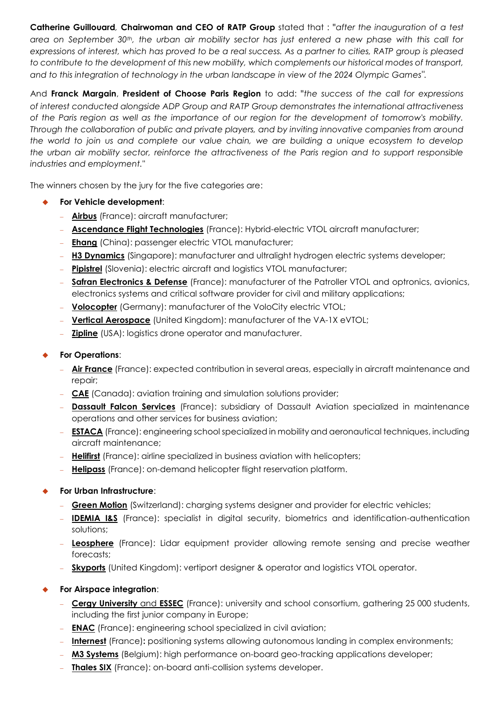**Catherine Guillouard***,* **Chairwoman and CEO of RATP Group** stated that : "*after the inauguration of a test area on September 30th, the urban air mobility sector has just entered a new phase with this call for expressions of interest, which has proved to be a real success. As a partner to cities, RATP group is pleased to contribute to the development of this new mobility, which complements our historical modes of transport, and to this integration of technology in the urban landscape in view of the 2024 Olympic Games".*

And **Franck Margain**, **President of Choose Paris Region** to add: "*the success of the call for expressions of interest conducted alongside ADP Group and RATP Group demonstrates the international attractiveness of the Paris region as well as the importance of our region for the development of tomorrow's mobility. Through the collaboration of public and private players, and by inviting innovative companies from around the world to join us and complete our value chain, we are building a unique ecosystem to develop the urban air mobility sector, reinforce the attractiveness of the Paris region and to support responsible industries and employment."*

The winners chosen by the jury for the five categories are:

- **For Vehicle development**:
	- **Airbus** (France): aircraft manufacturer;
	- **Ascendance Flight Technologies** (France): Hybrid-electric VTOL aircraft manufacturer;
	- **Ehang** (China): passenger electric VTOL manufacturer;
	- **H3 Dynamics** (Singapore): manufacturer and ultralight hydrogen electric systems developer;
	- **Pipistrel** (Slovenia): electric aircraft and logistics VTOL manufacturer;
	- **Safran Electronics & Defense** (France): manufacturer of the Patroller VTOL and optronics, avionics, electronics systems and critical software provider for civil and military applications;
	- **Volocopter** (Germany): manufacturer of the VoloCity electric VTOL;
	- **Vertical Aerospace** (United Kingdom): manufacturer of the VA-1X eVTOL;
	- **Zipline** (USA): logistics drone operator and manufacturer.

## **For Operations**:

- **Air France** (France): expected contribution in several areas, especially in aircraft maintenance and repair;
- **CAE** (Canada): aviation training and simulation solutions provider;
- **Dassault Falcon Services** (France): subsidiary of Dassault Aviation specialized in maintenance operations and other services for business aviation;
- **ESTACA** (France): engineering school specialized in mobility and aeronautical techniques, including aircraft maintenance;
- **Helifirst** (France): airline specialized in business aviation with helicopters;
- **Helipass** (France): on-demand helicopter flight reservation platform.

## **For Urban Infrastructure**:

- **Green Motion** (Switzerland): charging systems designer and provider for electric vehicles;
- **IDEMIA I&S** (France): specialist in digital security, biometrics and identification-authentication solutions;
- **Leosphere** (France): Lidar equipment provider allowing remote sensing and precise weather forecasts;
- **Skyports** (United Kingdom): vertiport designer & operator and logistics VTOL operator.

## **For Airspace integration**:

- **Cergy University** and **ESSEC** (France): university and school consortium, gathering 25 000 students, including the first junior company in Europe;
- **ENAC** (France): engineering school specialized in civil aviation;
- **Internest** (France): positioning systems allowing autonomous landing in complex environments;
- **M3 Systems** (Belgium): high performance on-board geo-tracking applications developer;
- **Thales SIX** (France): on-board anti-collision systems developer.